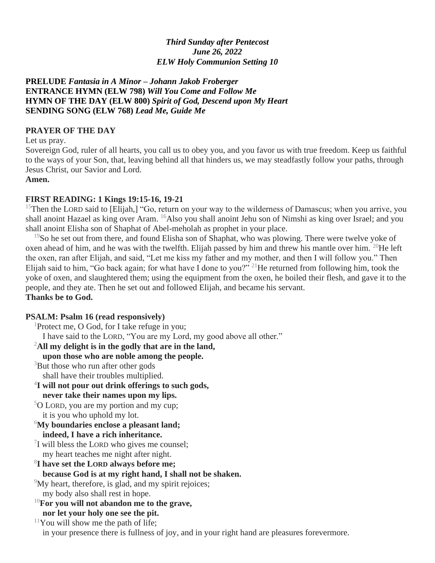## *Third Sunday after Pentecost June 26, 2022 ELW Holy Communion Setting 10*

**PRELUDE** *Fantasia in A Minor – Johann Jakob Froberger* **ENTRANCE HYMN (ELW 798)** *Will You Come and Follow Me* **HYMN OF THE DAY (ELW 800)** *Spirit of God, Descend upon My Heart* **SENDING SONG (ELW 768)** *Lead Me, Guide Me*

### **PRAYER OF THE DAY**

Let us pray.

Sovereign God, ruler of all hearts, you call us to obey you, and you favor us with true freedom. Keep us faithful to the ways of your Son, that, leaving behind all that hinders us, we may steadfastly follow your paths, through Jesus Christ, our Savior and Lord.

**Amen.**

#### **FIRST READING: 1 Kings 19:15-16, 19-21**

<sup>15</sup>Then the LORD said to [Elijah,] "Go, return on your way to the wilderness of Damascus; when you arrive, you shall anoint Hazael as king over Aram. <sup>16</sup>Also you shall anoint Jehu son of Nimshi as king over Israel; and you shall anoint Elisha son of Shaphat of Abel-meholah as prophet in your place.

<sup>19</sup>So he set out from there, and found Elisha son of Shaphat, who was plowing. There were twelve yoke of oxen ahead of him, and he was with the twelfth. Elijah passed by him and threw his mantle over him. <sup>20</sup>He left the oxen, ran after Elijah, and said, "Let me kiss my father and my mother, and then I will follow you." Then Elijah said to him, "Go back again; for what have I done to you?" <sup>21</sup>He returned from following him, took the yoke of oxen, and slaughtered them; using the equipment from the oxen, he boiled their flesh, and gave it to the people, and they ate. Then he set out and followed Elijah, and became his servant. **Thanks be to God.**

#### **PSALM: Psalm 16 (read responsively)** <sup>1</sup> Protect me,  $\bigcap$  God, for I take refuge in you;

| TTOICCI IIIC, O OOU, TOI T IANC TCHIZC III YOU,                                              |
|----------------------------------------------------------------------------------------------|
| I have said to the LORD, "You are my Lord, my good above all other."                         |
| $^{2}$ All my delight is in the godly that are in the land,                                  |
| upon those who are noble among the people.                                                   |
| <sup>3</sup> But those who run after other gods                                              |
| shall have their troubles multiplied.                                                        |
| <sup>4</sup> I will not pour out drink offerings to such gods,                               |
| never take their names upon my lips.                                                         |
| $5$ O LORD, you are my portion and my cup;                                                   |
| it is you who uphold my lot.                                                                 |
| $\delta$ My boundaries enclose a pleasant land;                                              |
| indeed, I have a rich inheritance.                                                           |
| $\frac{7}{1}$ will bless the LORD who gives me counsel;                                      |
| my heart teaches me night after night.                                                       |
| <sup>8</sup> I have set the LORD always before me;                                           |
| because God is at my right hand, I shall not be shaken.                                      |
| <sup>9</sup> My heart, therefore, is glad, and my spirit rejoices;                           |
| my body also shall rest in hope.                                                             |
| $^{10}$ For you will not abandon me to the grave,                                            |
| nor let your holy one see the pit.                                                           |
| $11$ You will show me the path of life;                                                      |
| in your presence there is fullness of joy, and in your right hand are pleasures forevermore. |
|                                                                                              |